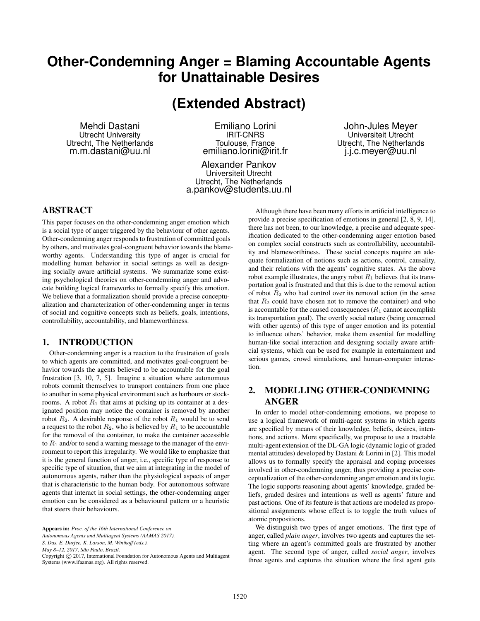# **Other-Condemning Anger = Blaming Accountable Agents for Unattainable Desires**

**(Extended Abstract)**

Mehdi Dastani Utrecht University Utrecht, The Netherlands m.m.dastani@uu.nl

Emiliano Lorini IRIT-CNRS Toulouse, France emiliano.lorini@irit.fr

Alexander Pankov Universiteit Utrecht Utrecht, The Netherlands a.pankov@students.uu.nl

John-Jules Meyer Universiteit Utrecht Utrecht, The Netherlands j.j.c.meyer@uu.nl

## ABSTRACT

This paper focuses on the other-condemning anger emotion which is a social type of anger triggered by the behaviour of other agents. Other-condemning anger responds to frustration of committed goals by others, and motivates goal-congruent behavior towards the blameworthy agents. Understanding this type of anger is crucial for modelling human behavior in social settings as well as designing socially aware artificial systems. We summarize some existing psychological theories on other-condemning anger and advocate building logical frameworks to formally specify this emotion. We believe that a formalization should provide a precise conceptualization and characterization of other-condemning anger in terms of social and cognitive concepts such as beliefs, goals, intentions, controllability, accountability, and blameworthiness.

## 1. INTRODUCTION

Other-condemning anger is a reaction to the frustration of goals to which agents are committed, and motivates goal-congruent behavior towards the agents believed to be accountable for the goal frustration [3, 10, 7, 5]. Imagine a situation where autonomous robots commit themselves to transport containers from one place to another in some physical environment such as harbours or stockrooms. A robot  $R_1$  that aims at picking up its container at a designated position may notice the container is removed by another robot  $R_2$ . A desirable response of the robot  $R_1$  would be to send a request to the robot  $R_2$ , who is believed by  $R_1$  to be accountable for the removal of the container, to make the container accessible to  $R_1$  and/or to send a warning message to the manager of the environment to report this irregularity. We would like to emphasize that it is the general function of anger, i.e., specific type of response to specific type of situation, that we aim at integrating in the model of autonomous agents, rather than the physiological aspects of anger that is characteristic to the human body. For autonomous software agents that interact in social settings, the other-condemning anger emotion can be considered as a behavioural pattern or a heuristic that steers their behaviours.

*S. Das, E. Durfee, K. Larson, M. Winikoff (eds.),*

Although there have been many efforts in artificial intelligence to provide a precise specification of emotions in general [2, 8, 9, 14], there has not been, to our knowledge, a precise and adequate specification dedicated to the other-condemning anger emotion based on complex social constructs such as controllability, accountability and blameworthiness. These social concepts require an adequate formalization of notions such as actions, control, causality, and their relations with the agents' cognitive states. As the above robot example illustrates, the angry robot  $R_1$  believes that its transportation goal is frustrated and that this is due to the removal action of robot  $R_2$  who had control over its removal action (in the sense that  $R_2$  could have chosen not to remove the container) and who is accountable for the caused consequences  $(R_1 \text{ cannot accomplish})$ its transportation goal). The overtly social nature (being concerned with other agents) of this type of anger emotion and its potential to influence others' behavior, make them essential for modelling human-like social interaction and designing socially aware artificial systems, which can be used for example in entertainment and serious games, crowd simulations, and human-computer interaction.

# 2. MODELLING OTHER-CONDEMNING ANGER

In order to model other-condemning emotions, we propose to use a logical framework of multi-agent systems in which agents are specified by means of their knowledge, beliefs, desires, intentions, and actions. More specifically, we propose to use a tractable multi-agent extension of the DL-GA logic (dynamic logic of graded mental attitudes) developed by Dastani & Lorini in [2]. This model allows us to formally specify the appraisal and coping processes involved in other-condemning anger, thus providing a precise conceptualization of the other-condemning anger emotion and its logic. The logic supports reasoning about agents' knowledge, graded beliefs, graded desires and intentions as well as agents' future and past actions. One of its feature is that actions are modeled as propositional assignments whose effect is to toggle the truth values of atomic propositions.

We distinguish two types of anger emotions. The first type of anger, called *plain anger*, involves two agents and captures the setting where an agent's committed goals are frustrated by another agent. The second type of anger, called *social anger*, involves three agents and captures the situation where the first agent gets

Appears in: *Proc. of the 16th International Conference on*

*Autonomous Agents and Multiagent Systems (AAMAS 2017),*

*May 8–12, 2017, São Paulo, Brazil.*

Copyright © 2017, International Foundation for Autonomous Agents and Multiagent Systems (www.ifaamas.org). All rights reserved.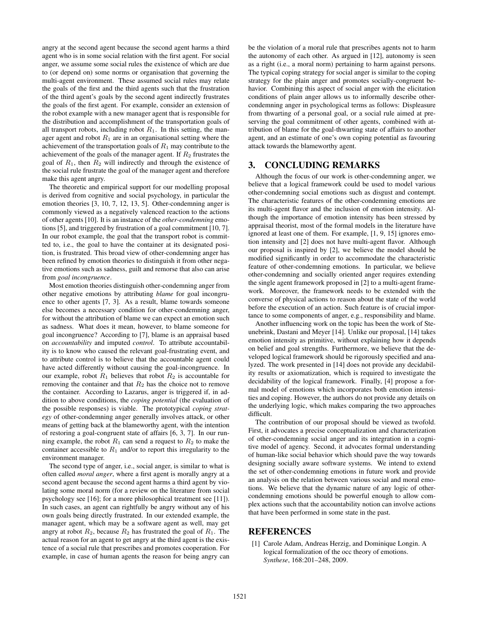angry at the second agent because the second agent harms a third agent who is in some social relation with the first agent. For social anger, we assume some social rules the existence of which are due to (or depend on) some norms or organisation that governing the multi-agent environment. These assumed social rules may relate the goals of the first and the third agents such that the frustration of the third agent's goals by the second agent indirectly frustrates the goals of the first agent. For example, consider an extension of the robot example with a new manager agent that is responsible for the distribution and accomplishment of the transportation goals of all transport robots, including robot  $R_1$ . In this setting, the manager agent and robot  $R_1$  are in an organisational setting where the achievement of the transportation goals of  $R_1$  may contribute to the achievement of the goals of the manager agent. If  $R_2$  frustrates the goal of  $R_1$ , then  $R_2$  will indirectly and through the existence of the social rule frustrate the goal of the manager agent and therefore make this agent angry.

The theoretic and empirical support for our modelling proposal is derived from cognitive and social psychology, in particular the emotion theories [3, 10, 7, 12, 13, 5]. Other-condemning anger is commonly viewed as a negatively valenced reaction to the actions of other agents [10]. It is an instance of the *other-condemning* emotions [5], and triggered by frustration of a goal commitment [10, 7]. In our robot example, the goal that the transport robot is committed to, i.e., the goal to have the container at its designated position, is frustrated. This broad view of other-condemning anger has been refined by emotion theories to distinguish it from other negative emotions such as sadness, guilt and remorse that also can arise from *goal incongruence*.

Most emotion theories distinguish other-condemning anger from other negative emotions by attributing *blame* for goal incongruence to other agents [7, 3]. As a result, blame towards someone else becomes a necessary condition for other-condemning anger, for without the attribution of blame we can expect an emotion such as sadness. What does it mean, however, to blame someone for goal incongruence? According to [7], blame is an appraisal based on *accountability* and imputed *control*. To attribute accountability is to know who caused the relevant goal-frustrating event, and to attribute control is to believe that the accountable agent could have acted differently without causing the goal-incongruence. In our example, robot  $R_1$  believes that robot  $R_2$  is accountable for removing the container and that  $R_2$  has the choice not to remove the container. According to Lazarus, anger is triggered if, in addition to above conditions, the *coping potential* (the evaluation of the possible responses) is viable. The prototypical *coping strategy* of other-condemning anger generally involves attack, or other means of getting back at the blameworthy agent, with the intention of restoring a goal-congruent state of affairs [6, 3, 7]. In our running example, the robot  $R_1$  can send a request to  $R_2$  to make the container accessible to  $R_1$  and/or to report this irregularity to the environment manager.

The second type of anger, i.e., social anger, is similar to what is often called *moral anger*, where a first agent is morally angry at a second agent because the second agent harms a third agent by violating some moral norm (for a review on the literature from social psychology see [16]; for a more philosophical treatment see [11]). In such cases, an agent can rightfully be angry without any of his own goals being directly frustrated. In our extended example, the manager agent, which may be a software agent as well, may get angry at robot  $R_2$ , because  $R_2$  has frustrated the goal of  $R_1$ . The actual reason for an agent to get angry at the third agent is the existence of a social rule that prescribes and promotes cooperation. For example, in case of human agents the reason for being angry can

be the violation of a moral rule that prescribes agents not to harm the autonomy of each other. As argued in [12], autonomy is seen as a right (i.e., a moral norm) pertaining to harm against persons. The typical coping strategy for social anger is similar to the coping strategy for the plain anger and promotes socially-congruent behavior. Combining this aspect of social anger with the elicitation conditions of plain anger allows us to informally describe othercondemning anger in psychological terms as follows: Displeasure from thwarting of a personal goal, or a social rule aimed at preserving the goal commitment of other agents, combined with attribution of blame for the goal-thwarting state of affairs to another agent, and an estimate of one's own coping potential as favouring attack towards the blameworthy agent.

### 3. CONCLUDING REMARKS

Although the focus of our work is other-condemning anger, we believe that a logical framework could be used to model various other-condemning social emotions such as disgust and contempt. The characteristic features of the other-condemning emotions are its multi-agent flavor and the inclusion of emotion intensity. Although the importance of emotion intensity has been stressed by appraisal theorist, most of the formal models in the literature have ignored at least one of them. For example, [1, 9, 15] ignores emotion intensity and [2] does not have multi-agent flavor. Although our proposal is inspired by [2], we believe the model should be modified significantly in order to accommodate the characteristic feature of other-condemning emotions. In particular, we believe other-condemning and socially oriented anger requires extending the single agent framework proposed in [2] to a multi-agent framework. Moreover, the framework needs to be extended with the converse of physical actions to reason about the state of the world before the execution of an action. Such feature is of crucial importance to some components of anger, e.g., responsibility and blame.

Another influencing work on the topic has been the work of Steunebrink, Dastani and Meyer [14]. Unlike our proposal, [14] takes emotion intensity as primitive, without explaining how it depends on belief and goal strengths. Furthermore, we believe that the developed logical framework should be rigorously specified and analyzed. The work presented in [14] does not provide any decidability results or axiomatization, which is required to investigate the decidability of the logical framework. Finally, [4] propose a formal model of emotions which incorporates both emotion intensities and coping. However, the authors do not provide any details on the underlying logic, which makes comparing the two approaches difficult.

The contribution of our proposal should be viewed as twofold. First, it advocates a precise conceptualization and characterization of other-condemning social anger and its integration in a cognitive model of agency. Second, it advocates formal understanding of human-like social behavior which should pave the way towards designing socially aware software systems. We intend to extend the set of other-condemning emotions in future work and provide an analysis on the relation between various social and moral emotions. We believe that the dynamic nature of any logic of othercondemning emotions should be powerful enough to allow complex actions such that the accountability notion can involve actions that have been performed in some state in the past.

#### **REFERENCES**

[1] Carole Adam, Andreas Herzig, and Dominique Longin. A logical formalization of the occ theory of emotions. *Synthese*, 168:201–248, 2009.